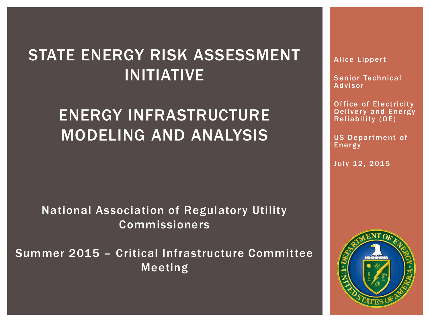### STATE ENERGY RISK ASSESSMENT INITIATIVE

## ENERGY INFRASTRUCTURE MODELING AND ANALYSIS

National Association of Regulatory Utility Commissioners

Summer 2015 – Critical Infrastructure Committee Meeting

**Alice Lippert** 

Senior Technical Advisor

Office of Electricity Delivery and Energy Reliability (OE)

US Department of Energy

July 12, 2015

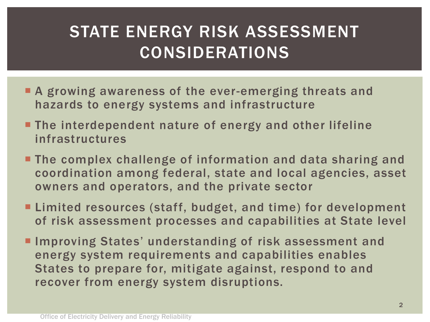## STATE ENERGY RISK ASSESSMENT CONSIDERATIONS

- **A growing awareness of the ever-emerging threats and** hazards to energy systems and infrastructure
- **The interdependent nature of energy and other lifeline** infrastructures
- **The complex challenge of information and data sharing and** coordination among federal, state and local agencies, asset owners and operators, and the private sector
- **Example 1** Limited resources (staff, budget, and time) for development of risk assessment processes and capabilities at State level
- **Improving States' understanding of risk assessment and** energy system requirements and capabilities enables States to prepare for, mitigate against, respond to and recover from energy system disruptions.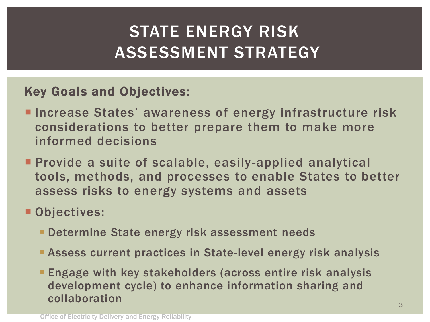## STATE ENERGY RISK ASSESSMENT STRATEGY

### Key Goals and Objectives:

- **Increase States' awareness of energy infrastructure risk** considerations to better prepare them to make more informed decisions
- **Provide a suite of scalable, easily-applied analytical** tools, methods, and processes to enable States to better assess risks to energy systems and assets

### Objectives:

- **Determine State energy risk assessment needs**
- Assess current practices in State-level energy risk analysis
- Engage with key stakeholders (across entire risk analysis development cycle) to enhance information sharing and collaboration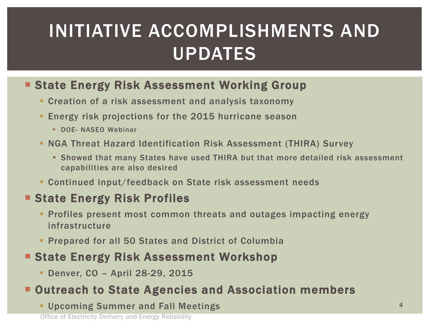# INITIATIVE ACCOMPLISHMENTS AND UPDATES

#### **State Energy Risk Assessment Working Group**

- **Creation of a risk assessment and analysis taxonomy**
- **Energy risk projections for the 2015 hurricane season** 
	- **DOE- NASEO Webinar**
- NGA Threat Hazard Identification Risk Assessment (THIRA) Survey
	- Showed that many States have used THIRA but that more detailed risk assessment capabilities are also desired
- Continued input/feedback on State risk assessment needs

#### **State Energy Risk Profiles**

- Profiles present most common threats and outages impacting energy infrastructure
- **Prepared for all 50 States and District of Columbia**

#### **State Energy Risk Assessment Workshop**

Denver, CO – April 28-29, 2015

#### **E** Outreach to State Agencies and Association members

Upcoming Summer and Fall Meetings <sup>4</sup>

Office of Electricity Delivery and Energy Reliability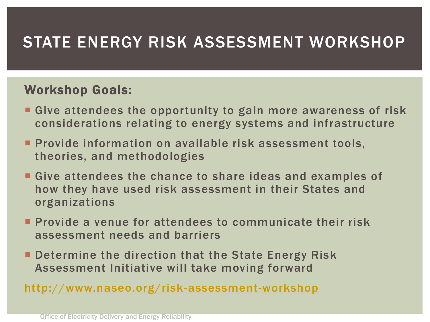## STATE ENERGY RISK ASSESSMENT WORKSHOP

#### Workshop Goals:

- Give attendees the opportunity to gain more awareness of risk considerations relating to energy systems and infrastructure
- **Provide information on available risk assessment tools,** theories, and methodologies
- **Give attendees the chance to share ideas and examples of** how they have used risk assessment in their States and organizations
- **Provide a venue for attendees to communicate their risk** assessment needs and barriers
- **Determine the direction that the State Energy Risk** Assessment Initiative will take moving forward

<http://www.naseo.org/risk-assessment-workshop>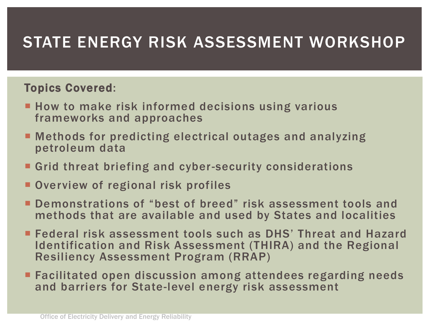## STATE ENERGY RISK ASSESSMENT WORKSHOP

#### Topics Covered:

- **How to make risk informed decisions using various** frameworks and approaches
- Methods for predicting electrical outages and analyzing petroleum data
- **Grid threat briefing and cyber-security considerations**
- **Overview of regional risk profiles**
- Demonstrations of "best of breed" risk assessment tools and methods that are available and used by States and localities
- Federal risk assessment tools such as DHS' Threat and Hazard Identification and Risk Assessment (THIRA) and the Regional Resiliency Assessment Program (RRAP)
- **Example 2 Facilitated open discussion among attendees regarding needs** and barriers for State-level energy risk assessment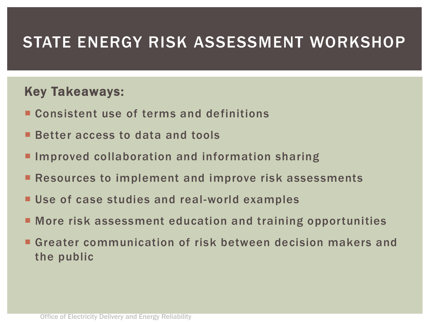### STATE ENERGY RISK ASSESSMENT WORKSHOP

#### Key Takeaways:

- **E** Consistent use of terms and definitions
- **Better access to data and tools**
- **Improved collaboration and information sharing**
- **Resources to implement and improve risk assessments**
- Use of case studies and real-world examples
- More risk assessment education and training opportunities
- Greater communication of risk between decision makers and the public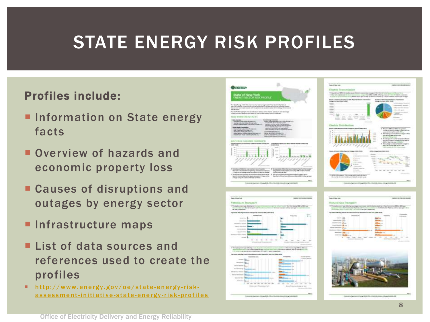# STATE ENERGY RISK PROFILES

#### Profiles include:

- **Information on State energy** facts
- **Overview of hazards and** economic property loss
- Causes of disruptions and outages by energy sector
- **Infrastructure maps**
- **List of data sources and** references used to create the profiles
- $\blacksquare$  http://www.energy.gov/oe/state-energy-riskassessment-initiative-state-energy-risk-profiles

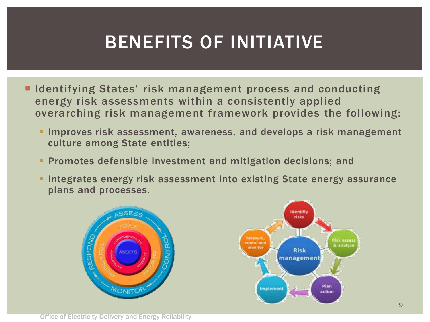# BENEFITS OF INITIATIVE

- **IDENTIFY INCOCO STATES ITLES EXAGAGERS EXAGAGERS** and conducting energy risk assessments within a consistently applied overarching risk management framework provides the following:
	- **Improves risk assessment, awareness, and develops a risk management** culture among State entities;
	- **Promotes defensible investment and mitigation decisions; and**
	- **Integrates energy risk assessment into existing State energy assurance** plans and processes.

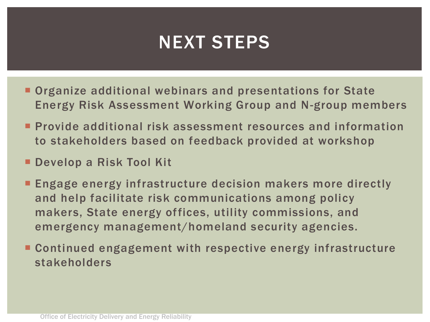# NEXT STEPS

- **Organize additional webinars and presentations for State** Energy Risk Assessment Working Group and N-group members
- **Provide additional risk assessment resources and information** to stakeholders based on feedback provided at workshop
- Develop a Risk Tool Kit
- **Engage energy infrastructure decision makers more directly** and help facilitate risk communications among policy makers, State energy offices, utility commissions, and emergency management/homeland security agencies.
- Continued engagement with respective energy infrastructure stakeholders